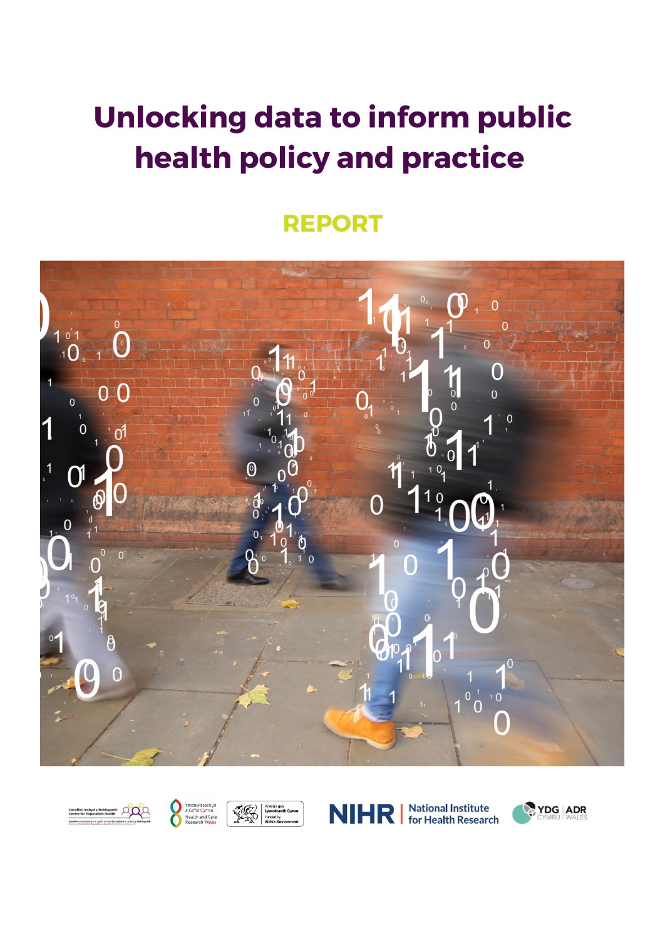# **Unlocking data to inform public** health policy and practice

### **REPORT**









**National Institute NIHRI** for Health Research

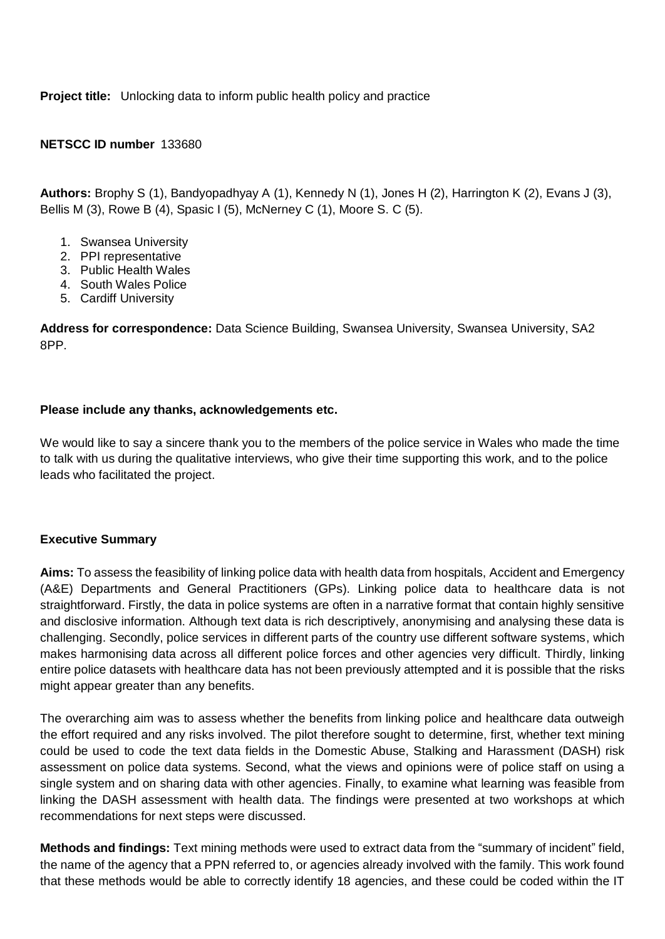**Project title:** Unlocking data to inform public health policy and practice

#### **NETSCC ID number** 133680

**Authors:** Brophy S (1), Bandyopadhyay A (1), Kennedy N (1), Jones H (2), Harrington K (2), Evans J (3), Bellis M (3), Rowe B (4), Spasic I (5), McNerney C (1), Moore S. C (5).

- 1. Swansea University
- 2. PPI representative
- 3. Public Health Wales
- 4. South Wales Police
- 5. Cardiff University

**Address for correspondence:** Data Science Building, Swansea University, Swansea University, SA2 8PP.

#### **Please include any thanks, acknowledgements etc.**

We would like to say a sincere thank you to the members of the police service in Wales who made the time to talk with us during the qualitative interviews, who give their time supporting this work, and to the police leads who facilitated the project.

#### **Executive Summary**

**Aims:** To assess the feasibility of linking police data with health data from hospitals, Accident and Emergency (A&E) Departments and General Practitioners (GPs). Linking police data to healthcare data is not straightforward. Firstly, the data in police systems are often in a narrative format that contain highly sensitive and disclosive information. Although text data is rich descriptively, anonymising and analysing these data is challenging. Secondly, police services in different parts of the country use different software systems, which makes harmonising data across all different police forces and other agencies very difficult. Thirdly, linking entire police datasets with healthcare data has not been previously attempted and it is possible that the risks might appear greater than any benefits.

The overarching aim was to assess whether the benefits from linking police and healthcare data outweigh the effort required and any risks involved. The pilot therefore sought to determine, first, whether text mining could be used to code the text data fields in the Domestic Abuse, Stalking and Harassment (DASH) risk assessment on police data systems. Second, what the views and opinions were of police staff on using a single system and on sharing data with other agencies. Finally, to examine what learning was feasible from linking the DASH assessment with health data. The findings were presented at two workshops at which recommendations for next steps were discussed.

**Methods and findings:** Text mining methods were used to extract data from the "summary of incident" field, the name of the agency that a PPN referred to, or agencies already involved with the family. This work found that these methods would be able to correctly identify 18 agencies, and these could be coded within the IT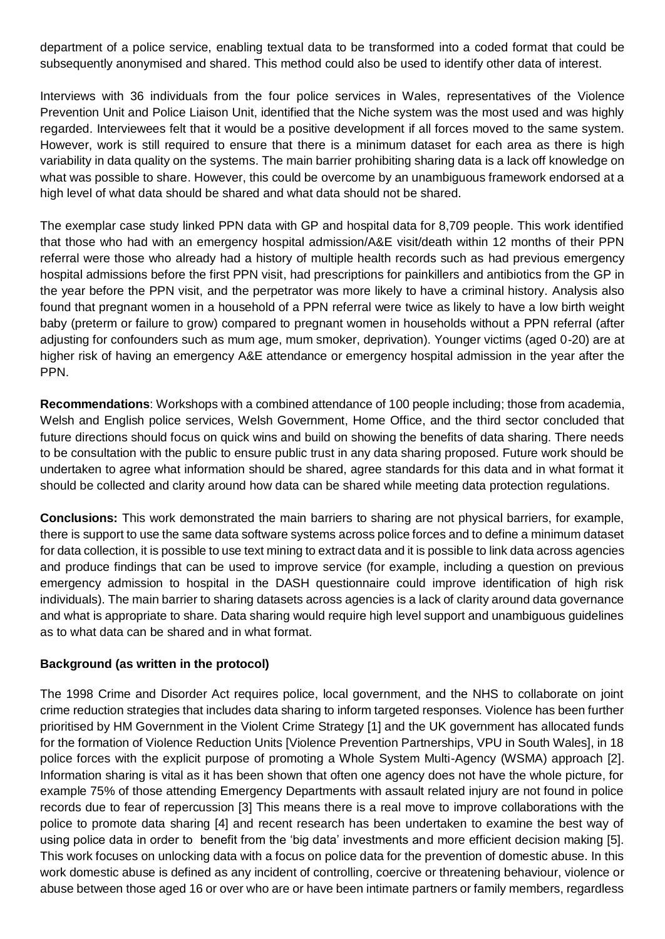department of a police service, enabling textual data to be transformed into a coded format that could be subsequently anonymised and shared. This method could also be used to identify other data of interest.

Interviews with 36 individuals from the four police services in Wales, representatives of the Violence Prevention Unit and Police Liaison Unit, identified that the Niche system was the most used and was highly regarded. Interviewees felt that it would be a positive development if all forces moved to the same system. However, work is still required to ensure that there is a minimum dataset for each area as there is high variability in data quality on the systems. The main barrier prohibiting sharing data is a lack off knowledge on what was possible to share. However, this could be overcome by an unambiguous framework endorsed at a high level of what data should be shared and what data should not be shared.

The exemplar case study linked PPN data with GP and hospital data for 8,709 people. This work identified that those who had with an emergency hospital admission/A&E visit/death within 12 months of their PPN referral were those who already had a history of multiple health records such as had previous emergency hospital admissions before the first PPN visit, had prescriptions for painkillers and antibiotics from the GP in the year before the PPN visit, and the perpetrator was more likely to have a criminal history. Analysis also found that pregnant women in a household of a PPN referral were twice as likely to have a low birth weight baby (preterm or failure to grow) compared to pregnant women in households without a PPN referral (after adjusting for confounders such as mum age, mum smoker, deprivation). Younger victims (aged 0-20) are at higher risk of having an emergency A&E attendance or emergency hospital admission in the year after the PPN.

**Recommendations**: Workshops with a combined attendance of 100 people including; those from academia, Welsh and English police services, Welsh Government, Home Office, and the third sector concluded that future directions should focus on quick wins and build on showing the benefits of data sharing. There needs to be consultation with the public to ensure public trust in any data sharing proposed. Future work should be undertaken to agree what information should be shared, agree standards for this data and in what format it should be collected and clarity around how data can be shared while meeting data protection regulations.

**Conclusions:** This work demonstrated the main barriers to sharing are not physical barriers, for example, there is support to use the same data software systems across police forces and to define a minimum dataset for data collection, it is possible to use text mining to extract data and it is possible to link data across agencies and produce findings that can be used to improve service (for example, including a question on previous emergency admission to hospital in the DASH questionnaire could improve identification of high risk individuals). The main barrier to sharing datasets across agencies is a lack of clarity around data governance and what is appropriate to share. Data sharing would require high level support and unambiguous guidelines as to what data can be shared and in what format.

#### **Background (as written in the protocol)**

The 1998 Crime and Disorder Act requires police, local government, and the NHS to collaborate on joint crime reduction strategies that includes data sharing to inform targeted responses. Violence has been further prioritised by HM Government in the Violent Crime Strategy [1] and the UK government has allocated funds for the formation of Violence Reduction Units [Violence Prevention Partnerships, VPU in South Wales], in 18 police forces with the explicit purpose of promoting a Whole System Multi-Agency (WSMA) approach [2]. Information sharing is vital as it has been shown that often one agency does not have the whole picture, for example 75% of those attending Emergency Departments with assault related injury are not found in police records due to fear of repercussion [3] This means there is a real move to improve collaborations with the police to promote data sharing [4] and recent research has been undertaken to examine the best way of using police data in order to benefit from the 'big data' investments and more efficient decision making [5]. This work focuses on unlocking data with a focus on police data for the prevention of domestic abuse. In this work domestic abuse is defined as any incident of controlling, coercive or threatening behaviour, violence or abuse between those aged 16 or over who are or have been intimate partners or family members, regardless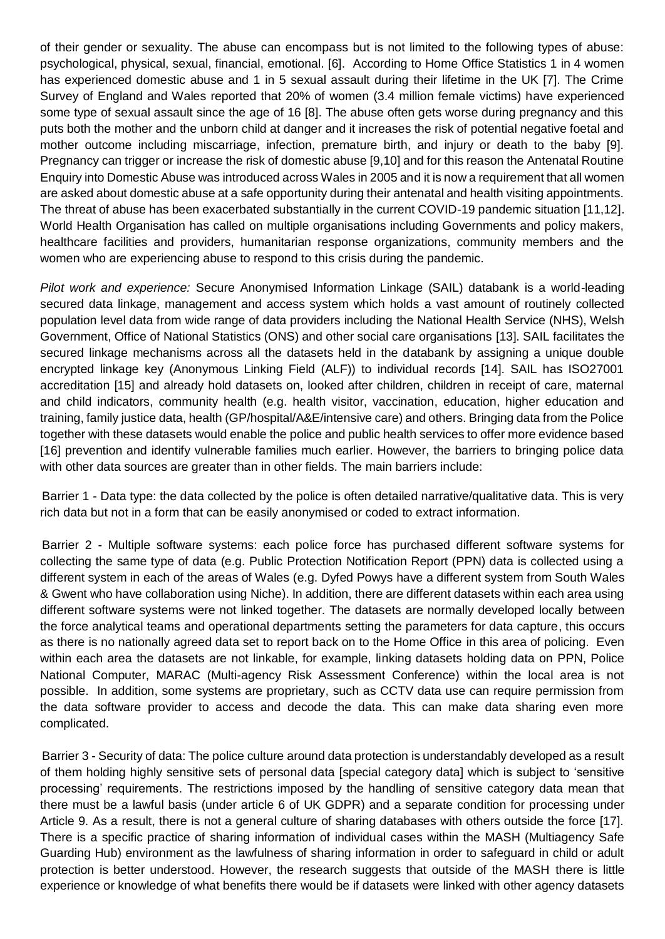of their gender or sexuality. The abuse can encompass but is not limited to the following types of abuse: psychological, physical, sexual, financial, emotional. [6]. According to Home Office Statistics 1 in 4 women has experienced domestic abuse and 1 in 5 sexual assault during their lifetime in the UK [7]. The Crime Survey of England and Wales reported that 20% of women (3.4 million female victims) have experienced some type of sexual assault since the age of 16 [8]. The abuse often gets worse during pregnancy and this puts both the mother and the unborn child at danger and it increases the risk of potential negative foetal and mother outcome including miscarriage, infection, premature birth, and injury or death to the baby [9]. Pregnancy can trigger or increase the risk of domestic abuse [9,10] and for this reason the Antenatal Routine Enquiry into Domestic Abuse was introduced across Wales in 2005 and it is now a requirement that all women are asked about domestic abuse at a safe opportunity during their antenatal and health visiting appointments. The threat of abuse has been exacerbated substantially in the current COVID-19 pandemic situation [11,12]. World Health Organisation has called on multiple organisations including Governments and policy makers, healthcare facilities and providers, humanitarian response organizations, community members and the women who are experiencing abuse to respond to this crisis during the pandemic.

*Pilot work and experience:* Secure Anonymised Information Linkage (SAIL) databank is a world-leading secured data linkage, management and access system which holds a vast amount of routinely collected population level data from wide range of data providers including the National Health Service (NHS), Welsh Government, Office of National Statistics (ONS) and other social care organisations [13]. SAIL facilitates the secured linkage mechanisms across all the datasets held in the databank by assigning a unique double encrypted linkage key (Anonymous Linking Field (ALF)) to individual records [14]. SAIL has ISO27001 accreditation [15] and already hold datasets on, looked after children, children in receipt of care, maternal and child indicators, community health (e.g. health visitor, vaccination, education, higher education and training, family justice data, health (GP/hospital/A&E/intensive care) and others. Bringing data from the Police together with these datasets would enable the police and public health services to offer more evidence based [16] prevention and identify vulnerable families much earlier. However, the barriers to bringing police data with other data sources are greater than in other fields. The main barriers include:

Barrier 1 - Data type: the data collected by the police is often detailed narrative/qualitative data. This is very rich data but not in a form that can be easily anonymised or coded to extract information.

Barrier 2 - Multiple software systems: each police force has purchased different software systems for collecting the same type of data (e.g. Public Protection Notification Report (PPN) data is collected using a different system in each of the areas of Wales (e.g. Dyfed Powys have a different system from South Wales & Gwent who have collaboration using Niche). In addition, there are different datasets within each area using different software systems were not linked together. The datasets are normally developed locally between the force analytical teams and operational departments setting the parameters for data capture, this occurs as there is no nationally agreed data set to report back on to the Home Office in this area of policing. Even within each area the datasets are not linkable, for example, linking datasets holding data on PPN, Police National Computer, MARAC (Multi-agency Risk Assessment Conference) within the local area is not possible. In addition, some systems are proprietary, such as CCTV data use can require permission from the data software provider to access and decode the data. This can make data sharing even more complicated.

Barrier 3 - Security of data: The police culture around data protection is understandably developed as a result of them holding highly sensitive sets of personal data [special category data] which is subject to 'sensitive processing' requirements. The restrictions imposed by the handling of sensitive category data mean that there must be a lawful basis (under article 6 of UK GDPR) and a separate condition for processing under Article 9. As a result, there is not a general culture of sharing databases with others outside the force [17]. There is a specific practice of sharing information of individual cases within the MASH (Multiagency Safe Guarding Hub) environment as the lawfulness of sharing information in order to safeguard in child or adult protection is better understood. However, the research suggests that outside of the MASH there is little experience or knowledge of what benefits there would be if datasets were linked with other agency datasets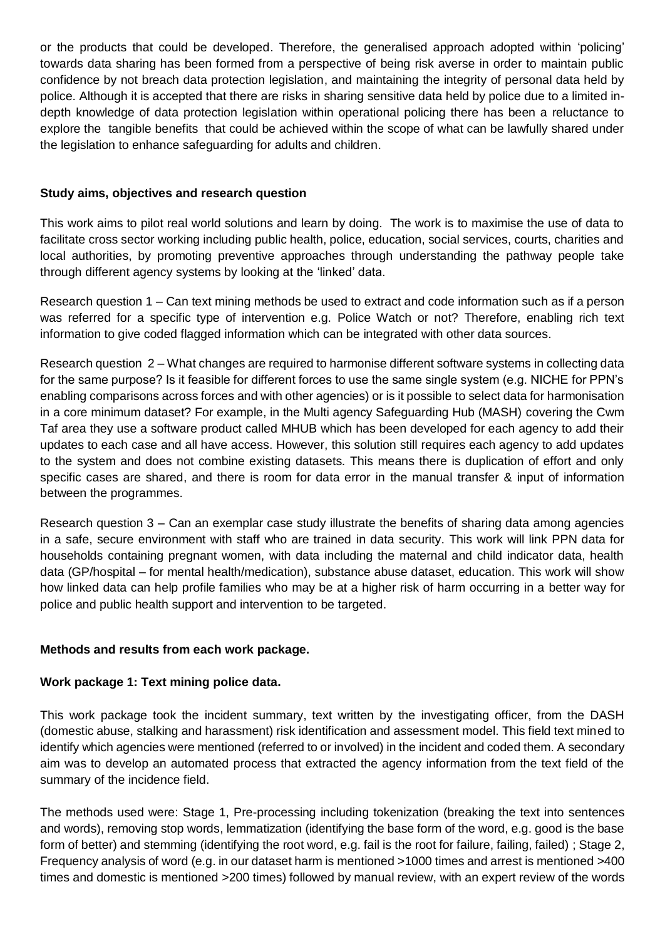or the products that could be developed. Therefore, the generalised approach adopted within 'policing' towards data sharing has been formed from a perspective of being risk averse in order to maintain public confidence by not breach data protection legislation, and maintaining the integrity of personal data held by police. Although it is accepted that there are risks in sharing sensitive data held by police due to a limited indepth knowledge of data protection legislation within operational policing there has been a reluctance to explore the tangible benefits that could be achieved within the scope of what can be lawfully shared under the legislation to enhance safeguarding for adults and children.

#### **Study aims, objectives and research question**

This work aims to pilot real world solutions and learn by doing. The work is to maximise the use of data to facilitate cross sector working including public health, police, education, social services, courts, charities and local authorities, by promoting preventive approaches through understanding the pathway people take through different agency systems by looking at the 'linked' data.

Research question 1 – Can text mining methods be used to extract and code information such as if a person was referred for a specific type of intervention e.g. Police Watch or not? Therefore, enabling rich text information to give coded flagged information which can be integrated with other data sources.

Research question 2 – What changes are required to harmonise different software systems in collecting data for the same purpose? Is it feasible for different forces to use the same single system (e.g. NICHE for PPN's enabling comparisons across forces and with other agencies) or is it possible to select data for harmonisation in a core minimum dataset? For example, in the Multi agency Safeguarding Hub (MASH) covering the Cwm Taf area they use a software product called MHUB which has been developed for each agency to add their updates to each case and all have access. However, this solution still requires each agency to add updates to the system and does not combine existing datasets. This means there is duplication of effort and only specific cases are shared, and there is room for data error in the manual transfer & input of information between the programmes.

Research question 3 – Can an exemplar case study illustrate the benefits of sharing data among agencies in a safe, secure environment with staff who are trained in data security. This work will link PPN data for households containing pregnant women, with data including the maternal and child indicator data, health data (GP/hospital – for mental health/medication), substance abuse dataset, education. This work will show how linked data can help profile families who may be at a higher risk of harm occurring in a better way for police and public health support and intervention to be targeted.

#### **Methods and results from each work package.**

#### **Work package 1: Text mining police data.**

This work package took the incident summary, text written by the investigating officer, from the DASH (domestic abuse, stalking and harassment) risk identification and assessment model. This field text mined to identify which agencies were mentioned (referred to or involved) in the incident and coded them. A secondary aim was to develop an automated process that extracted the agency information from the text field of the summary of the incidence field.

The methods used were: Stage 1, Pre-processing including tokenization (breaking the text into sentences and words), removing stop words, lemmatization (identifying the base form of the word, e.g. good is the base form of better) and stemming (identifying the root word, e.g. fail is the root for failure, failing, failed) ; Stage 2, Frequency analysis of word (e.g. in our dataset harm is mentioned >1000 times and arrest is mentioned >400 times and domestic is mentioned >200 times) followed by manual review, with an expert review of the words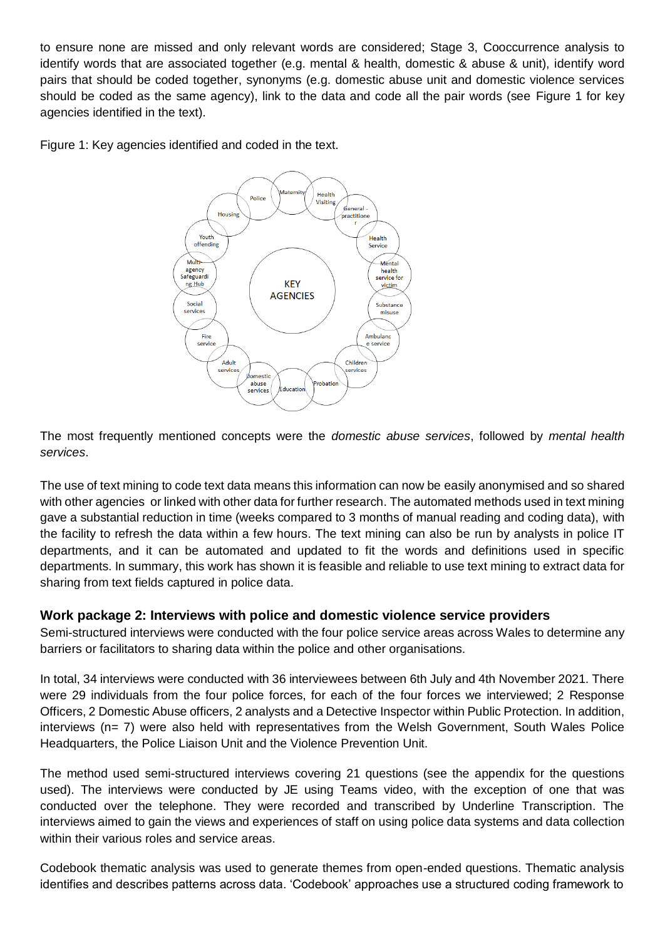to ensure none are missed and only relevant words are considered; Stage 3, Cooccurrence analysis to identify words that are associated together (e.g. mental & health, domestic & abuse & unit), identify word pairs that should be coded together, synonyms (e.g. domestic abuse unit and domestic violence services should be coded as the same agency), link to the data and code all the pair words (see Figure 1 for key agencies identified in the text).

Figure 1: Key agencies identified and coded in the text.



The most frequently mentioned concepts were the *domestic abuse services*, followed by *mental health services*.

The use of text mining to code text data means this information can now be easily anonymised and so shared with other agencies or linked with other data for further research. The automated methods used in text mining gave a substantial reduction in time (weeks compared to 3 months of manual reading and coding data), with the facility to refresh the data within a few hours. The text mining can also be run by analysts in police IT departments, and it can be automated and updated to fit the words and definitions used in specific departments. In summary, this work has shown it is feasible and reliable to use text mining to extract data for sharing from text fields captured in police data.

#### **Work package 2: Interviews with police and domestic violence service providers**

Semi-structured interviews were conducted with the four police service areas across Wales to determine any barriers or facilitators to sharing data within the police and other organisations.

In total, 34 interviews were conducted with 36 interviewees between 6th July and 4th November 2021. There were 29 individuals from the four police forces, for each of the four forces we interviewed; 2 Response Officers, 2 Domestic Abuse officers, 2 analysts and a Detective Inspector within Public Protection. In addition, interviews (n= 7) were also held with representatives from the Welsh Government, South Wales Police Headquarters, the Police Liaison Unit and the Violence Prevention Unit.

The method used semi-structured interviews covering 21 questions (see the appendix for the questions used). The interviews were conducted by JE using Teams video, with the exception of one that was conducted over the telephone. They were recorded and transcribed by Underline Transcription. The interviews aimed to gain the views and experiences of staff on using police data systems and data collection within their various roles and service areas.

Codebook thematic analysis was used to generate themes from open-ended questions. Thematic analysis identifies and describes patterns across data. 'Codebook' approaches use a structured coding framework to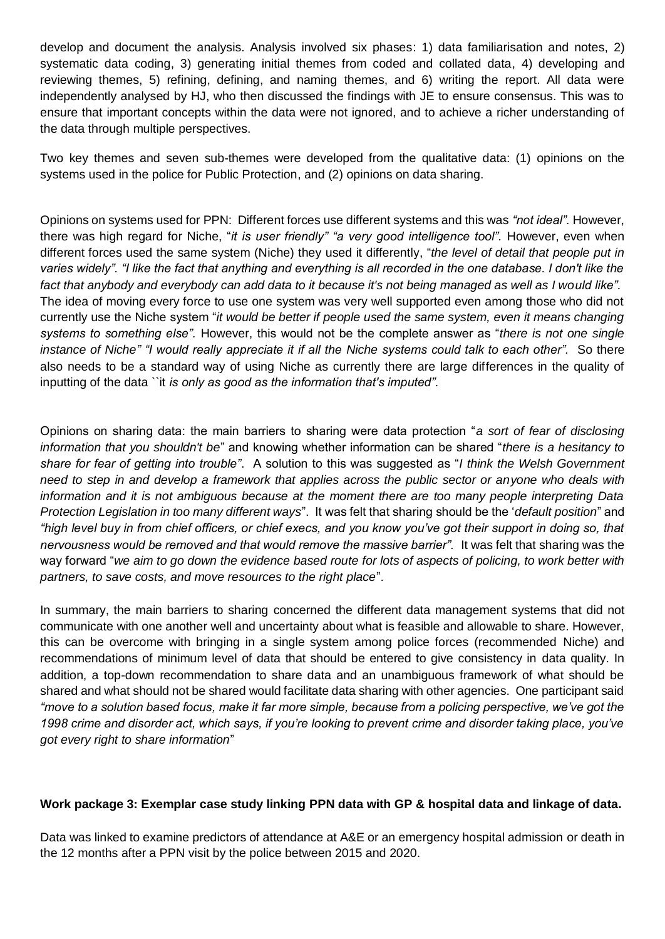develop and document the analysis. Analysis involved six phases: 1) data familiarisation and notes, 2) systematic data coding, 3) generating initial themes from coded and collated data, 4) developing and reviewing themes, 5) refining, defining, and naming themes, and 6) writing the report. All data were independently analysed by HJ, who then discussed the findings with JE to ensure consensus. This was to ensure that important concepts within the data were not ignored, and to achieve a richer understanding of the data through multiple perspectives.

Two key themes and seven sub-themes were developed from the qualitative data: (1) opinions on the systems used in the police for Public Protection, and (2) opinions on data sharing.

Opinions on systems used for PPN: Different forces use different systems and this was *"not ideal".* However, there was high regard for Niche, "*it is user friendly" "a very good intelligence tool".* However, even when different forces used the same system (Niche) they used it differently, "*the level of detail that people put in varies widely". "I like the fact that anything and everything is all recorded in the one database. I don't like the fact that anybody and everybody can add data to it because it's not being managed as well as I would like".* The idea of moving every force to use one system was very well supported even among those who did not currently use the Niche system "*it would be better if people used the same system, even it means changing systems to something else".* However, this would not be the complete answer as "*there is not one single instance of Niche" "I would really appreciate it if all the Niche systems could talk to each other".* So there also needs to be a standard way of using Niche as currently there are large differences in the quality of inputting of the data ``it *is only as good as the information that's imputed".* 

Opinions on sharing data: the main barriers to sharing were data protection "*a sort of fear of disclosing information that you shouldn't be*" and knowing whether information can be shared "*there is a hesitancy to share for fear of getting into trouble"*. A solution to this was suggested as "*I think the Welsh Government need to step in and develop a framework that applies across the public sector or anyone who deals with information and it is not ambiguous because at the moment there are too many people interpreting Data Protection Legislation in too many different ways*". It was felt that sharing should be the '*default position*" and *"high level buy in from chief officers, or chief execs, and you know you've got their support in doing so, that nervousness would be removed and that would remove the massive barrier".* It was felt that sharing was the way forward "*we aim to go down the evidence based route for lots of aspects of policing, to work better with partners, to save costs, and move resources to the right place*".

In summary, the main barriers to sharing concerned the different data management systems that did not communicate with one another well and uncertainty about what is feasible and allowable to share. However, this can be overcome with bringing in a single system among police forces (recommended Niche) and recommendations of minimum level of data that should be entered to give consistency in data quality. In addition, a top-down recommendation to share data and an unambiguous framework of what should be shared and what should not be shared would facilitate data sharing with other agencies. One participant said *"move to a solution based focus, make it far more simple, because from a policing perspective, we've got the 1998 crime and disorder act, which says, if you're looking to prevent crime and disorder taking place, you've got every right to share information*"

#### **Work package 3: Exemplar case study linking PPN data with GP & hospital data and linkage of data.**

Data was linked to examine predictors of attendance at A&E or an emergency hospital admission or death in the 12 months after a PPN visit by the police between 2015 and 2020.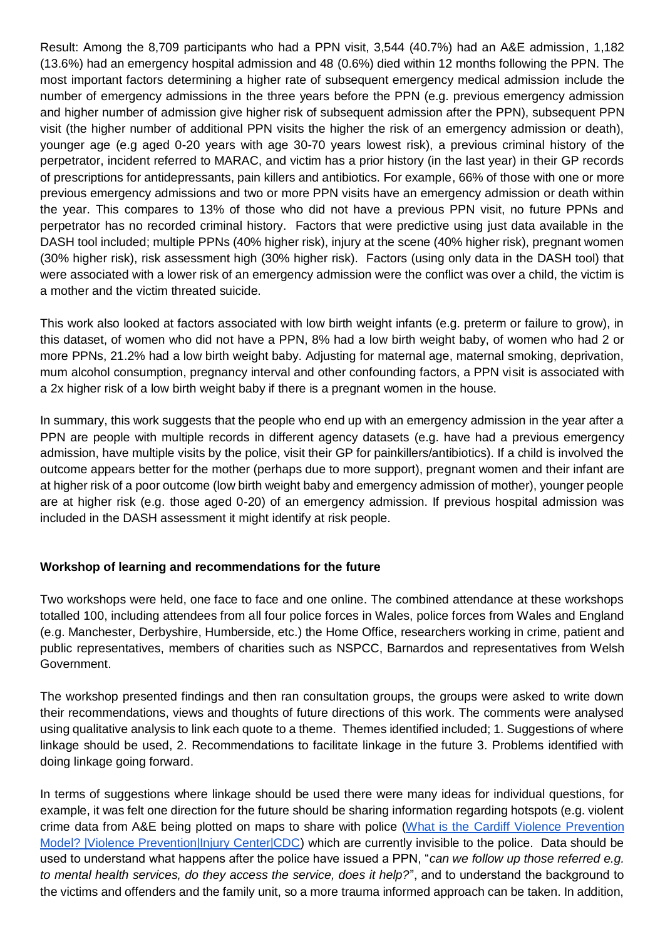Result: Among the 8,709 participants who had a PPN visit, 3,544 (40.7%) had an A&E admission, 1,182 (13.6%) had an emergency hospital admission and 48 (0.6%) died within 12 months following the PPN. The most important factors determining a higher rate of subsequent emergency medical admission include the number of emergency admissions in the three years before the PPN (e.g. previous emergency admission and higher number of admission give higher risk of subsequent admission after the PPN), subsequent PPN visit (the higher number of additional PPN visits the higher the risk of an emergency admission or death), younger age (e.g aged 0-20 years with age 30-70 years lowest risk), a previous criminal history of the perpetrator, incident referred to MARAC, and victim has a prior history (in the last year) in their GP records of prescriptions for antidepressants, pain killers and antibiotics. For example, 66% of those with one or more previous emergency admissions and two or more PPN visits have an emergency admission or death within the year. This compares to 13% of those who did not have a previous PPN visit, no future PPNs and perpetrator has no recorded criminal history. Factors that were predictive using just data available in the DASH tool included; multiple PPNs (40% higher risk), injury at the scene (40% higher risk), pregnant women (30% higher risk), risk assessment high (30% higher risk). Factors (using only data in the DASH tool) that were associated with a lower risk of an emergency admission were the conflict was over a child, the victim is a mother and the victim threated suicide.

This work also looked at factors associated with low birth weight infants (e.g. preterm or failure to grow), in this dataset, of women who did not have a PPN, 8% had a low birth weight baby, of women who had 2 or more PPNs, 21.2% had a low birth weight baby. Adjusting for maternal age, maternal smoking, deprivation, mum alcohol consumption, pregnancy interval and other confounding factors, a PPN visit is associated with a 2x higher risk of a low birth weight baby if there is a pregnant women in the house.

In summary, this work suggests that the people who end up with an emergency admission in the year after a PPN are people with multiple records in different agency datasets (e.g. have had a previous emergency admission, have multiple visits by the police, visit their GP for painkillers/antibiotics). If a child is involved the outcome appears better for the mother (perhaps due to more support), pregnant women and their infant are at higher risk of a poor outcome (low birth weight baby and emergency admission of mother), younger people are at higher risk (e.g. those aged 0-20) of an emergency admission. If previous hospital admission was included in the DASH assessment it might identify at risk people.

#### **Workshop of learning and recommendations for the future**

Two workshops were held, one face to face and one online. The combined attendance at these workshops totalled 100, including attendees from all four police forces in Wales, police forces from Wales and England (e.g. Manchester, Derbyshire, Humberside, etc.) the Home Office, researchers working in crime, patient and public representatives, members of charities such as NSPCC, Barnardos and representatives from Welsh Government.

The workshop presented findings and then ran consultation groups, the groups were asked to write down their recommendations, views and thoughts of future directions of this work. The comments were analysed using qualitative analysis to link each quote to a theme. Themes identified included; 1. Suggestions of where linkage should be used, 2. Recommendations to facilitate linkage in the future 3. Problems identified with doing linkage going forward.

In terms of suggestions where linkage should be used there were many ideas for individual questions, for example, it was felt one direction for the future should be sharing information regarding hotspots (e.g. violent crime data from A&E being plotted on maps to share with police [\(What is the Cardiff Violence Prevention](https://www.cdc.gov/violenceprevention/about/fundedprograms/cardiffmodel/whatis.html#:~:text=The%20Cardiff%20Model%20is%20a%20multi-agency%20approach%20to,The%20basis%20of%20the%20model%20is%20information%20sharing.)  [Model? |Violence Prevention|Injury Center|CDC\)](https://www.cdc.gov/violenceprevention/about/fundedprograms/cardiffmodel/whatis.html#:~:text=The%20Cardiff%20Model%20is%20a%20multi-agency%20approach%20to,The%20basis%20of%20the%20model%20is%20information%20sharing.) which are currently invisible to the police. Data should be used to understand what happens after the police have issued a PPN, "*can we follow up those referred e.g. to mental health services, do they access the service, does it help?*", and to understand the background to the victims and offenders and the family unit, so a more trauma informed approach can be taken. In addition,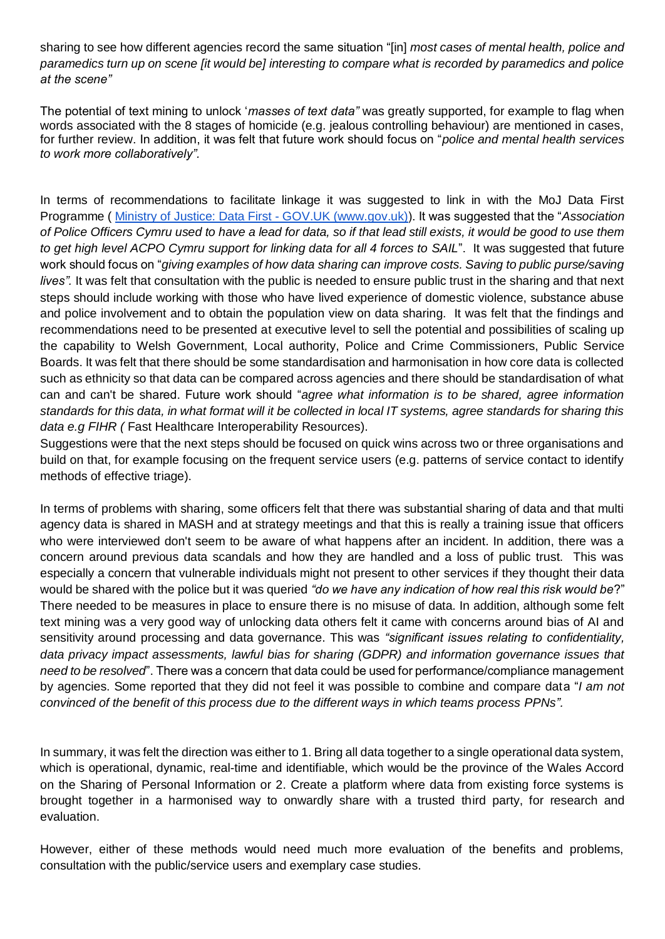sharing to see how different agencies record the same situation "[in] *most cases of mental health, police and paramedics turn up on scene [it would be] interesting to compare what is recorded by paramedics and police at the scene"*

The potential of text mining to unlock '*masses of text data"* was greatly supported, for example to flag when words associated with the 8 stages of homicide (e.g. jealous controlling behaviour) are mentioned in cases, for further review. In addition, it was felt that future work should focus on "*police and mental health services to work more collaboratively".* 

In terms of recommendations to facilitate linkage it was suggested to link in with the MoJ Data First Programme ( [Ministry of Justice: Data First -](https://www.gov.uk/guidance/ministry-of-justice-data-first) GOV.UK [\(www.gov.uk\)\)](https://www.gov.uk/guidance/ministry-of-justice-data-first). It was suggested that the "*Association of Police Officers Cymru used to have a lead for data, so if that lead still exists, it would be good to use them to get high level ACPO Cymru support for linking data for all 4 forces to SAIL*". It was suggested that future work should focus on "*giving examples of how data sharing can improve costs. Saving to public purse/saving lives".* It was felt that consultation with the public is needed to ensure public trust in the sharing and that next steps should include working with those who have lived experience of domestic violence, substance abuse and police involvement and to obtain the population view on data sharing. It was felt that the findings and recommendations need to be presented at executive level to sell the potential and possibilities of scaling up the capability to Welsh Government, Local authority, Police and Crime Commissioners, Public Service Boards. It was felt that there should be some standardisation and harmonisation in how core data is collected such as ethnicity so that data can be compared across agencies and there should be standardisation of what can and can't be shared. Future work should "*agree what information is to be shared, agree information standards for this data, in what format will it be collected in local IT systems, agree standards for sharing this data e.g FIHR (* Fast Healthcare Interoperability Resources).

Suggestions were that the next steps should be focused on quick wins across two or three organisations and build on that, for example focusing on the frequent service users (e.g. patterns of service contact to identify methods of effective triage).

In terms of problems with sharing, some officers felt that there was substantial sharing of data and that multi agency data is shared in MASH and at strategy meetings and that this is really a training issue that officers who were interviewed don't seem to be aware of what happens after an incident. In addition, there was a concern around previous data scandals and how they are handled and a loss of public trust. This was especially a concern that vulnerable individuals might not present to other services if they thought their data would be shared with the police but it was queried *"do we have any indication of how real this risk would be*?" There needed to be measures in place to ensure there is no misuse of data. In addition, although some felt text mining was a very good way of unlocking data others felt it came with concerns around bias of AI and sensitivity around processing and data governance. This was *"significant issues relating to confidentiality, data privacy impact assessments, lawful bias for sharing (GDPR) and information governance issues that need to be resolved*". There was a concern that data could be used for performance/compliance management by agencies. Some reported that they did not feel it was possible to combine and compare data "*I am not convinced of the benefit of this process due to the different ways in which teams process PPNs".* 

In summary, it was felt the direction was either to 1. Bring all data together to a single operational data system, which is operational, dynamic, real-time and identifiable, which would be the province of the Wales Accord on the Sharing of Personal Information or 2. Create a platform where data from existing force systems is brought together in a harmonised way to onwardly share with a trusted third party, for research and evaluation.

However, either of these methods would need much more evaluation of the benefits and problems, consultation with the public/service users and exemplary case studies.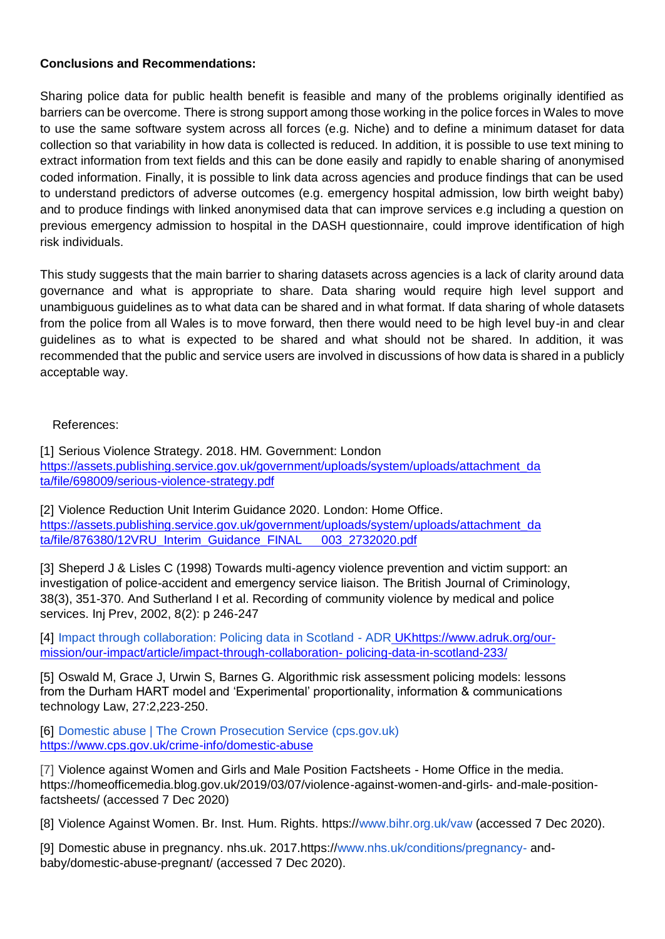#### **Conclusions and Recommendations:**

Sharing police data for public health benefit is feasible and many of the problems originally identified as barriers can be overcome. There is strong support among those working in the police forces in Wales to move to use the same software system across all forces (e.g. Niche) and to define a minimum dataset for data collection so that variability in how data is collected is reduced. In addition, it is possible to use text mining to extract information from text fields and this can be done easily and rapidly to enable sharing of anonymised coded information. Finally, it is possible to link data across agencies and produce findings that can be used to understand predictors of adverse outcomes (e.g. emergency hospital admission, low birth weight baby) and to produce findings with linked anonymised data that can improve services e.g including a question on previous emergency admission to hospital in the DASH questionnaire, could improve identification of high risk individuals.

This study suggests that the main barrier to sharing datasets across agencies is a lack of clarity around data governance and what is appropriate to share. Data sharing would require high level support and unambiguous guidelines as to what data can be shared and in what format. If data sharing of whole datasets from the police from all Wales is to move forward, then there would need to be high level buy-in and clear guidelines as to what is expected to be shared and what should not be shared. In addition, it was recommended that the public and service users are involved in discussions of how data is shared in a publicly acceptable way.

#### References:

[1] Serious Violence Strategy. 2018. HM. Government: Londo[n](https://assets.publishing.service.gov.uk/government/uploads/system/uploads/attachment_data/file/698009/serious-violence-strategy.pdf) [https://assets.publishing.service.gov.uk/government/uploads/system/uploads/attachment\\_da](https://assets.publishing.service.gov.uk/government/uploads/system/uploads/attachment_data/file/698009/serious-violence-strategy.pdf)  [ta/file/698009/serious-violence-strategy.pdf](https://assets.publishing.service.gov.uk/government/uploads/system/uploads/attachment_data/file/698009/serious-violence-strategy.pdf)

[2] Violence Reduction Unit Interim Guidance 2020[.](https://assets.publishing.service.gov.uk/government/uploads/system/uploads/attachment_data/file/876380/12VRU_Interim_Guidance_FINAL__003_2732020.pdf) London: Home Office. [https://assets.publishing.service.gov.uk/government/uploads/system/uploads/attachment\\_da](https://assets.publishing.service.gov.uk/government/uploads/system/uploads/attachment_data/file/876380/12VRU_Interim_Guidance_FINAL__003_2732020.pdf)  [ta/file/876380/12VRU\\_Interim\\_Guidance\\_FINAL 003\\_2732020.pdf](https://assets.publishing.service.gov.uk/government/uploads/system/uploads/attachment_data/file/876380/12VRU_Interim_Guidance_FINAL__003_2732020.pdf)

[3] Sheperd J & Lisles C (1998) Towards multi-agency violence prevention and victim support: an investigation of police-accident and emergency service liaison. The British Journal of Criminology, 38(3), 351-370. And Sutherland I et al. Recording of community violence by medical and police services. Inj Prev, 2002, 8(2): p 246-247

[4] [Impact through collaboration: Policing data in Scotland -](https://www.adruk.org/our-mission/our-impact/article/impact-through-collaboration-policing-data-in-scotland-233/) ADR [UKh](https://www.adruk.org/our-mission/our-impact/article/impact-through-collaboration-policing-data-in-scotland-233/)ttps:/[/www.adruk.org/our](http://www.adruk.org/our-mission/our-impact/article/impact-through-collaboration-)[mission/our-impact/article/impact-through-collaboration-](http://www.adruk.org/our-mission/our-impact/article/impact-through-collaboration-) policing-data-in-scotland-233/

[5] Oswald M, Grace J, Urwin S, Barnes G. Algorithmic risk assessment policing models: lessons from the Durham HART model and 'Experimental' proportionality, information & communications technology Law, 27:2,223-250.

[6] [Domestic abuse | The Crown Prosecution Service \(cps.gov.uk\)](https://www.cps.gov.uk/crime-info/domestic-abuse) <https://www.cps.gov.uk/crime-info/domestic-abuse>

[7] Violence against Women and Girls and Male Position Factsheets - Home Office in the media. https://homeofficemedia.blog.gov.uk/2019/03/07/violence-against-women-and-girls- and-male-positionfactsheets/ (accessed 7 Dec 2020)

[8] Violence Against Women. Br. Inst. Hum. Rights. https:/[/www.bihr.org.uk/vaw](http://www.bihr.org.uk/vaw) (accessed 7 Dec 2020).

[9] Domestic abuse in pregnancy. nhs.uk. 2017.https:/[/www.nhs.uk/conditions/pregnancy-](http://www.nhs.uk/conditions/pregnancy-) andbaby/domestic-abuse-pregnant/ (accessed 7 Dec 2020).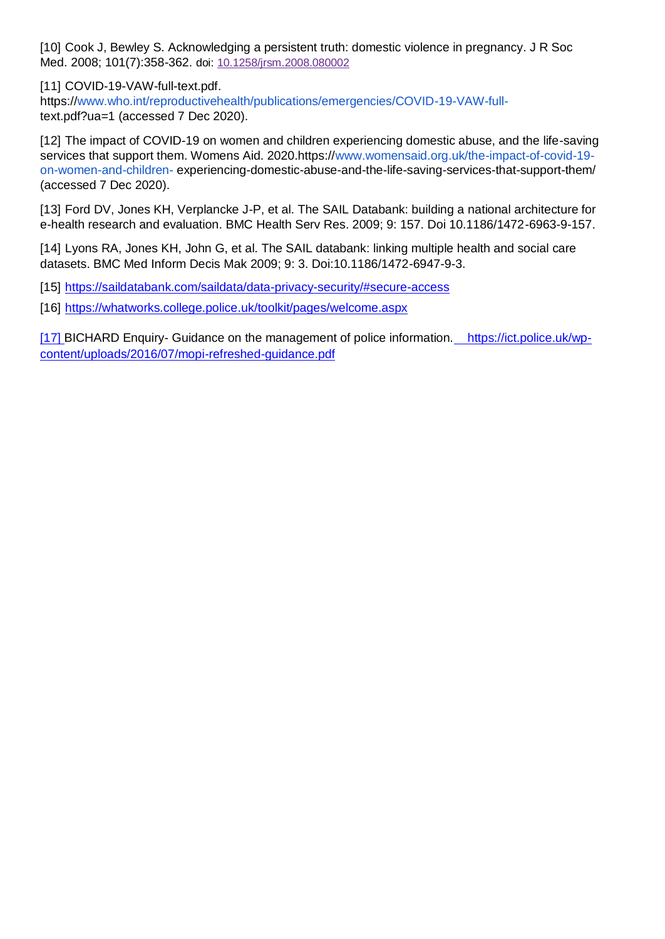[10] Cook J, Bewley S. Acknowledging a persistent truth: domestic violence in pregnancy. J R Soc Med. 2008; 101(7):358-362. doi[:](https://dx.doi.org/10.1258%2Fjrsm.2008.080002) [10.1258/jrsm.2008.080002](https://dx.doi.org/10.1258%2Fjrsm.2008.080002)

[11] COVID-19-VAW-full-text.pdf. https:/[/www.who.int/reproductivehealth/publications/emergencies/COVID-19-VAW-full](http://www.who.int/reproductivehealth/publications/emergencies/COVID-19-VAW-full-)text.pdf?ua=1 (accessed 7 Dec 2020).

[12] The impact of COVID-19 on women and children experiencing domestic abuse, and the life-saving services that support them. Womens Aid. 2020.https:/[/www.womensaid.org.uk/the-impact-of-covid-19](http://www.womensaid.org.uk/the-impact-of-covid-19-on-women-and-children-) [on-women-and-children-](http://www.womensaid.org.uk/the-impact-of-covid-19-on-women-and-children-) experiencing-domestic-abuse-and-the-life-saving-services-that-support-them/ (accessed 7 Dec 2020).

[13] Ford DV, Jones KH, Verplancke J-P, et al. The SAIL Databank: building a national architecture for e-health research and evaluation. BMC Health Serv Res. 2009; 9: 157. Doi 10.1186/1472-6963-9-157.

[14] Lyons RA, Jones KH, John G, et al. The SAIL databank: linking multiple health and social care datasets. BMC Med Inform Decis Mak 2009; 9: 3. Doi:10.1186/1472-6947-9-3.

[15] <https://saildatabank.com/saildata/data-privacy-security/#secure-access>

[16] <https://whatworks.college.police.uk/toolkit/pages/welcome.aspx>

[17] BICHARD Enquiry- Guidance on the management of police information[. https://ict.police.uk/wp](https://ict.police.uk/wp-content/uploads/2016/07/mopi-refreshed-guidance.pdf)[content/uploads/2016/07/mopi-refreshed-guidance.pdf](https://ict.police.uk/wp-content/uploads/2016/07/mopi-refreshed-guidance.pdf)